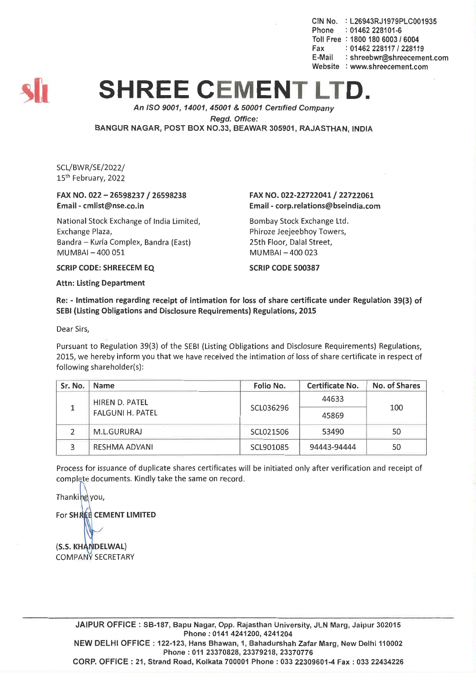CIN No. : L26943RJ1979PLC001935 Phone : 01462 228101-6 Toll Free : 1800 180 60031 6004 Fax: *01462228117/228119* E-Mail : shreebwr@shreecement.com Website : www.shreecement.com



## **SHREE CEMENT LT**

*An ISO 9001, 14001,45001* & *50001 Cenified Company Regd. Office:* BANGUR NAGAR, POST BOX NO.33, BEAWAR 305901, RAJASTHAN, INDIA

SCL/BWR/SE/2022/ 15th February, 2022

## FAX NO. 022 - 26598237 / 26598238 Email-cmlist@nse.co.in

National Stock Exchange of India Limited, Exchange Plaza, Bandra - Kurla Complex, Bandra (East) MUMBAI-400 051

## FAX NO. 022-22722041/ 22722061 Email -corp.relations@bseindia.com

Bombay Stock Exchange Ltd. Phiroze Jeejeebhoy Towers, 25th Floor, Dalal Street, MUMBAI-400 023

SCRIP CODE 500387

SCRIP CODE: SHREECEM EQ

Attn: Listing Department

Re: - Intimation regarding receipt of intimation for loss of share certificate under Regulation 39(3) of SEBI (Listing Obligations and Disclosure Requirements) Regulations, 2015

Dear Sirs,

Pursuant to Regulation 39(3) of the SEBI (Listing Obligations and Disclosure Requirements) Regulations, 2015, we hereby inform you that we have received the intimation of loss of share certificate in respect of following shareholder(s):

| Sr. No. | <b>Name</b>             | Folio No. | Certificate No. | No. of Shares |  |
|---------|-------------------------|-----------|-----------------|---------------|--|
|         | HIREN D. PATEL          |           | 44633           | 100           |  |
|         | <b>FALGUNI H. PATEL</b> | SCL036296 | 45869           |               |  |
|         | M.L.GURURAJ             | SCL021506 | 53490           | 50            |  |
|         | <b>RESHMA ADVANI</b>    | SCL901085 | 94443-94444     | 50            |  |

Process for issuance of duplicate shares certificates will be initiated only after verification and receipt of complete documents. Kindly take the same on record.

Thanking you, For SHREE CEMENT LIMITED

(S.S. KHANDELWAL) **COMPANY SECRETARY** 

> JAIPUR OFFICE: SB-187, Bapu Nagar, Opp. Rajasthan University, JLN Marg, Jaipur 302015 Phone: 0141 4241200, 4241204 NEW DELHI OFFICE: 122-123, Hans Bhawan, 1, Bahadurshah Zafar Marg, New Delhi 110002 Phone: 011 23370828,23379218, 23370776

> CORP. OFFICE: 21, Strand Road, Kolkata 700001 Phone: 033 22309601-4 Fax: 033 22434226